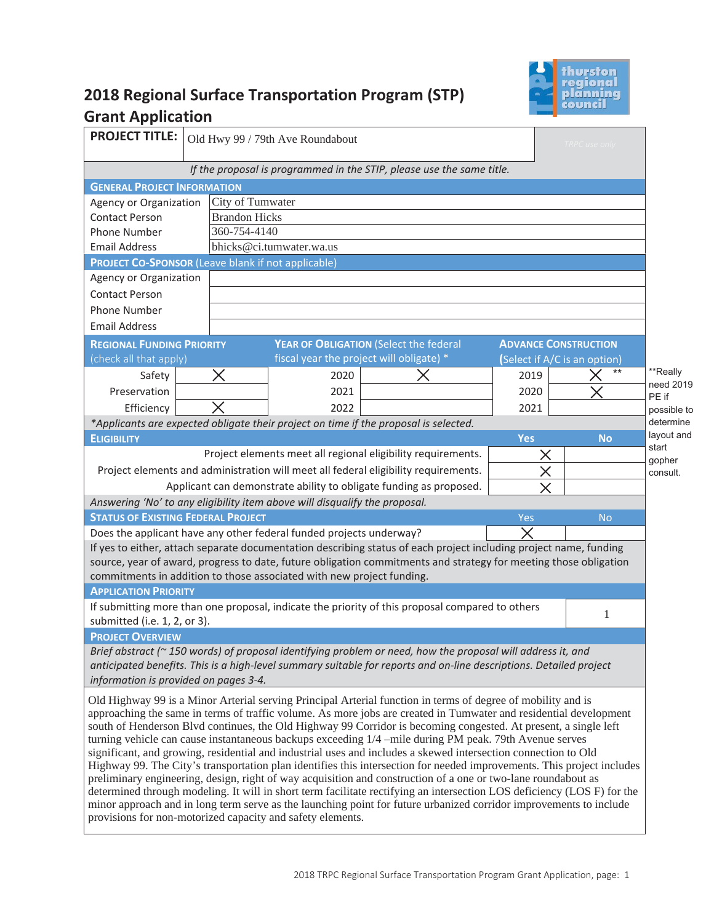

# **2018 Regional Surface Transportation Program (STP) Grant Application**

| <b>PROJECT TITLE:</b>                                                                                                                                                                                                                   |                      | Old Hwy 99 / 79th Ave Roundabout                                                     |                                                                                                                   |                             | TRPC use only                |                       |
|-----------------------------------------------------------------------------------------------------------------------------------------------------------------------------------------------------------------------------------------|----------------------|--------------------------------------------------------------------------------------|-------------------------------------------------------------------------------------------------------------------|-----------------------------|------------------------------|-----------------------|
|                                                                                                                                                                                                                                         |                      |                                                                                      | If the proposal is programmed in the STIP, please use the same title.                                             |                             |                              |                       |
| <b>GENERAL PROJECT INFORMATION</b>                                                                                                                                                                                                      |                      |                                                                                      |                                                                                                                   |                             |                              |                       |
| Agency or Organization                                                                                                                                                                                                                  | City of Tumwater     |                                                                                      |                                                                                                                   |                             |                              |                       |
| <b>Contact Person</b>                                                                                                                                                                                                                   | <b>Brandon Hicks</b> |                                                                                      |                                                                                                                   |                             |                              |                       |
| Phone Number                                                                                                                                                                                                                            | 360-754-4140         |                                                                                      |                                                                                                                   |                             |                              |                       |
| <b>Email Address</b>                                                                                                                                                                                                                    |                      | bhicks@ci.tumwater.wa.us                                                             |                                                                                                                   |                             |                              |                       |
| <b>PROJECT CO-SPONSOR (Leave blank if not applicable)</b>                                                                                                                                                                               |                      |                                                                                      |                                                                                                                   |                             |                              |                       |
| Agency or Organization                                                                                                                                                                                                                  |                      |                                                                                      |                                                                                                                   |                             |                              |                       |
| <b>Contact Person</b>                                                                                                                                                                                                                   |                      |                                                                                      |                                                                                                                   |                             |                              |                       |
| <b>Phone Number</b>                                                                                                                                                                                                                     |                      |                                                                                      |                                                                                                                   |                             |                              |                       |
| <b>Email Address</b>                                                                                                                                                                                                                    |                      |                                                                                      |                                                                                                                   |                             |                              |                       |
| <b>REGIONAL FUNDING PRIORITY</b>                                                                                                                                                                                                        |                      | YEAR OF OBLIGATION (Select the federal                                               |                                                                                                                   | <b>ADVANCE CONSTRUCTION</b> |                              |                       |
| (check all that apply)                                                                                                                                                                                                                  |                      | fiscal year the project will obligate) *                                             |                                                                                                                   |                             | (Select if A/C is an option) |                       |
| Safety                                                                                                                                                                                                                                  | Χ                    | 2020                                                                                 |                                                                                                                   | 2019                        | $***$                        | **Really<br>need 2019 |
| Preservation                                                                                                                                                                                                                            |                      | 2021                                                                                 |                                                                                                                   | 2020                        |                              | PE if                 |
| Efficiency                                                                                                                                                                                                                              |                      | 2022                                                                                 |                                                                                                                   | 2021                        |                              | possible to           |
|                                                                                                                                                                                                                                         |                      | *Applicants are expected obligate their project on time if the proposal is selected. |                                                                                                                   |                             |                              | determine             |
| <b>ELIGIBILITY</b>                                                                                                                                                                                                                      |                      |                                                                                      |                                                                                                                   | <b>Yes</b>                  | <b>No</b>                    | layout and            |
|                                                                                                                                                                                                                                         |                      |                                                                                      | Project elements meet all regional eligibility requirements.                                                      | X                           |                              | start<br>gopher       |
|                                                                                                                                                                                                                                         |                      |                                                                                      | Project elements and administration will meet all federal eligibility requirements.                               | $\times$                    |                              | consult.              |
|                                                                                                                                                                                                                                         |                      |                                                                                      | Applicant can demonstrate ability to obligate funding as proposed.                                                |                             |                              |                       |
|                                                                                                                                                                                                                                         |                      | Answering 'No' to any eligibility item above will disqualify the proposal.           |                                                                                                                   |                             |                              |                       |
| <b>STATUS OF EXISTING FEDERAL PROJECT</b><br>Yes<br><b>No</b>                                                                                                                                                                           |                      |                                                                                      |                                                                                                                   |                             |                              |                       |
|                                                                                                                                                                                                                                         |                      | Does the applicant have any other federal funded projects underway?                  |                                                                                                                   | $\times$                    |                              |                       |
|                                                                                                                                                                                                                                         |                      |                                                                                      | If yes to either, attach separate documentation describing status of each project including project name, funding |                             |                              |                       |
|                                                                                                                                                                                                                                         |                      |                                                                                      | source, year of award, progress to date, future obligation commitments and strategy for meeting those obligation  |                             |                              |                       |
|                                                                                                                                                                                                                                         |                      | commitments in addition to those associated with new project funding.                |                                                                                                                   |                             |                              |                       |
| <b>APPLICATION PRIORITY</b>                                                                                                                                                                                                             |                      |                                                                                      |                                                                                                                   |                             |                              |                       |
| submitted (i.e. 1, 2, or 3).                                                                                                                                                                                                            |                      |                                                                                      | If submitting more than one proposal, indicate the priority of this proposal compared to others                   |                             | 1                            |                       |
| <b>PROJECT OVERVIEW</b>                                                                                                                                                                                                                 |                      |                                                                                      |                                                                                                                   |                             |                              |                       |
| Brief abstract (~150 words) of proposal identifying problem or need, how the proposal will address it, and                                                                                                                              |                      |                                                                                      |                                                                                                                   |                             |                              |                       |
| anticipated benefits. This is a high-level summary suitable for reports and on-line descriptions. Detailed project                                                                                                                      |                      |                                                                                      |                                                                                                                   |                             |                              |                       |
| information is provided on pages 3-4.                                                                                                                                                                                                   |                      |                                                                                      |                                                                                                                   |                             |                              |                       |
| Old Highway 99 is a Minor Arterial serving Principal Arterial function in terms of degree of mobility and is                                                                                                                            |                      |                                                                                      |                                                                                                                   |                             |                              |                       |
| approaching the same in terms of traffic volume. As more jobs are created in Tumwater and residential development                                                                                                                       |                      |                                                                                      |                                                                                                                   |                             |                              |                       |
| south of Henderson Blvd continues, the Old Highway 99 Corridor is becoming congested. At present, a single left                                                                                                                         |                      |                                                                                      |                                                                                                                   |                             |                              |                       |
| turning vehicle can cause instantaneous backups exceeding 1/4 -mile during PM peak. 79th Avenue serves                                                                                                                                  |                      |                                                                                      |                                                                                                                   |                             |                              |                       |
| significant, and growing, residential and industrial uses and includes a skewed intersection connection to Old                                                                                                                          |                      |                                                                                      |                                                                                                                   |                             |                              |                       |
| Highway 99. The City's transportation plan identifies this intersection for needed improvements. This project includes<br>preliminary engineering, design, right of way acquisition and construction of a one or two-lane roundabout as |                      |                                                                                      |                                                                                                                   |                             |                              |                       |
| determined through modeling. It will in short term facilitate rectifying an intersection LOS deficiency (LOS F) for the                                                                                                                 |                      |                                                                                      |                                                                                                                   |                             |                              |                       |
| minor approach and in long term serve as the launching point for future urbanized corridor improvements to include<br>provisions for non-motorized capacity and safety elements.                                                        |                      |                                                                                      |                                                                                                                   |                             |                              |                       |
|                                                                                                                                                                                                                                         |                      |                                                                                      |                                                                                                                   |                             |                              |                       |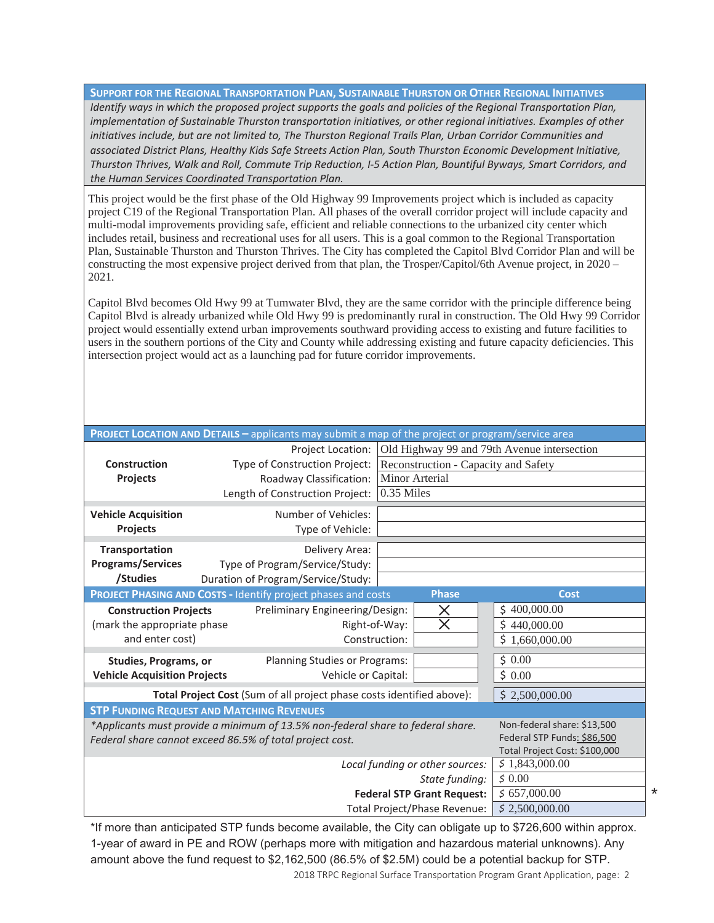**SUPPORT FOR THE REGIONAL TRANSPORTATION PLAN, SUSTAINABLE THURSTON OR OTHER REGIONAL INITIATIVES** *Identify ways in which the proposed project supports the goals and policies of the Regional Transportation Plan, implementation of Sustainable Thurston transportation initiatives, or other regional initiatives. Examples of other*  initiatives include, but are not limited to, The Thurston Regional Trails Plan, Urban Corridor Communities and *associated District Plans, Healthy Kids Safe Streets Action Plan, South Thurston Economic Development Initiative, Thurston Thrives, Walk and Roll, Commute Trip Reduction, I-5 Action Plan, Bountiful Byways, Smart Corridors, and the Human Services Coordinated Transportation Plan.* 

This project would be the first phase of the Old Highway 99 Improvements project which is included as capacity project C19 of the Regional Transportation Plan. All phases of the overall corridor project will include capacity and multi-modal improvements providing safe, efficient and reliable connections to the urbanized city center which includes retail, business and recreational uses for all users. This is a goal common to the Regional Transportation Plan, Sustainable Thurston and Thurston Thrives. The City has completed the Capitol Blvd Corridor Plan and will be constructing the most expensive project derived from that plan, the Trosper/Capitol/6th Avenue project, in 2020 – 2021.

Capitol Blvd becomes Old Hwy 99 at Tumwater Blvd, they are the same corridor with the principle difference being Capitol Blvd is already urbanized while Old Hwy 99 is predominantly rural in construction. The Old Hwy 99 Corridor project would essentially extend urban improvements southward providing access to existing and future facilities to users in the southern portions of the City and County while addressing existing and future capacity deficiencies. This intersection project would act as a launching pad for future corridor improvements.

|                                     | PROJECT LOCATION AND DETAILS - applicants may submit a map of the project or program/service area |                               |
|-------------------------------------|---------------------------------------------------------------------------------------------------|-------------------------------|
|                                     | Old Highway 99 and 79th Avenue intersection<br><b>Project Location:</b>                           |                               |
| Construction                        | Type of Construction Project:<br>Reconstruction - Capacity and Safety                             |                               |
| Projects                            | Minor Arterial<br>Roadway Classification:                                                         |                               |
|                                     | 0.35 Miles<br>Length of Construction Project:                                                     |                               |
| <b>Vehicle Acquisition</b>          | Number of Vehicles:                                                                               |                               |
| <b>Projects</b>                     | Type of Vehicle:                                                                                  |                               |
| Transportation                      | Delivery Area:                                                                                    |                               |
| <b>Programs/Services</b>            | Type of Program/Service/Study:                                                                    |                               |
| /Studies                            | Duration of Program/Service/Study:                                                                |                               |
|                                     | <b>Phase</b><br><b>PROJECT PHASING AND COSTS - Identify project phases and costs</b>              | <b>Cost</b>                   |
| <b>Construction Projects</b>        | Preliminary Engineering/Design:<br>$\times$                                                       | \$400,000.00                  |
| (mark the appropriate phase         | $\overline{\times}$<br>Right-of-Way:                                                              | Ś<br>440,000.00               |
| and enter cost)                     | Construction:                                                                                     | \$<br>1,660,000.00            |
|                                     |                                                                                                   |                               |
| <b>Studies, Programs, or</b>        | Planning Studies or Programs:                                                                     | \$0.00                        |
| <b>Vehicle Acquisition Projects</b> | Vehicle or Capital:                                                                               | \$0.00                        |
|                                     | Total Project Cost (Sum of all project phase costs identified above):                             | \$2,500,000.00                |
|                                     | <b>STP FUNDING REQUEST AND MATCHING REVENUES</b>                                                  |                               |
|                                     | *Applicants must provide a minimum of 13.5% non-federal share to federal share.                   | Non-federal share: \$13,500   |
|                                     | Federal share cannot exceed 86.5% of total project cost.                                          | Federal STP Funds: \$86,500   |
|                                     |                                                                                                   | Total Project Cost: \$100,000 |
|                                     | Local funding or other sources:                                                                   | \$1,843,000.00                |
| \$0.00<br>State funding:            |                                                                                                   |                               |
|                                     | <b>Federal STP Grant Request:</b>                                                                 | \$657,000.00                  |
|                                     | Total Project/Phase Revenue:                                                                      | \$2,500,000.00                |

2018 TRPC Regional Surface Transportation Program Grant Application, page: 2 \*If more than anticipated STP funds become available, the City can obligate up to \$726,600 within approx. 1-year of award in PE and ROW (perhaps more with mitigation and hazardous material unknowns). Any amount above the fund request to \$2,162,500 (86.5% of \$2.5M) could be a potential backup for STP.

\*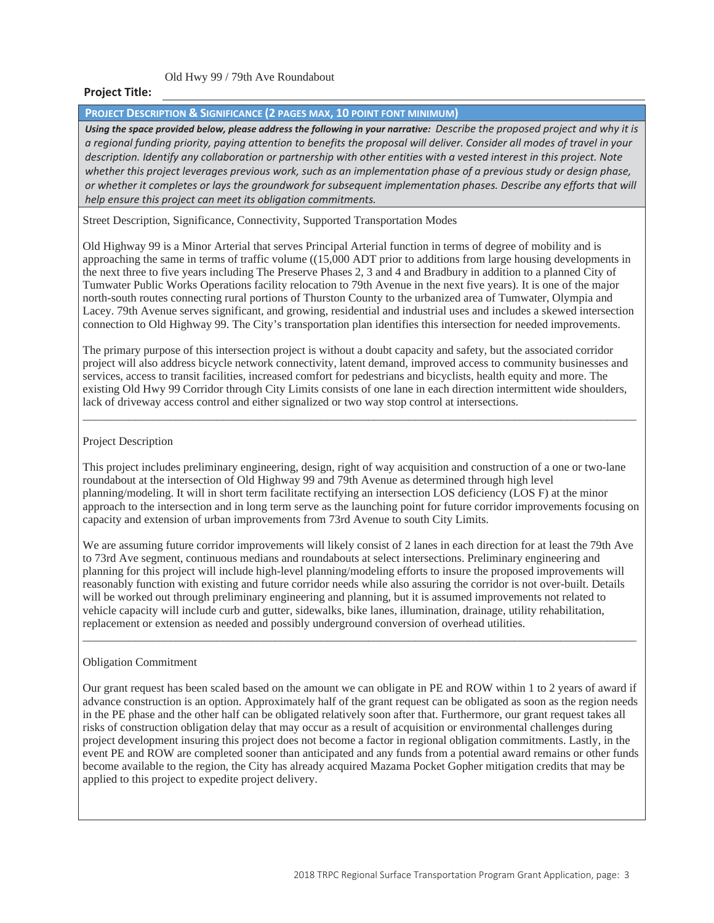Old Hwy 99 / 79th Ave Roundabout

#### **Project Title:**

**PROJECT DESCRIPTION & SIGNIFICANCE (2 PAGES MAX, 10 POINT FONT MINIMUM)** 

*Using the space provided below, please address the following in your narrative: Describe the proposed project and why it is a regional funding priority, paying attention to benefits the proposal will deliver. Consider all modes of travel in your description. Identify any collaboration or partnership with other entities with a vested interest in this project. Note*  whether this project leverages previous work, such as an implementation phase of a previous study or design phase, *or whether it completes or lays the groundwork for subsequent implementation phases. Describe any efforts that will help ensure this project can meet its obligation commitments.* 

Street Description, Significance, Connectivity, Supported Transportation Modes

Old Highway 99 is a Minor Arterial that serves Principal Arterial function in terms of degree of mobility and is approaching the same in terms of traffic volume ((15,000 ADT prior to additions from large housing developments in the next three to five years including The Preserve Phases 2, 3 and 4 and Bradbury in addition to a planned City of Tumwater Public Works Operations facility relocation to 79th Avenue in the next five years). It is one of the major north-south routes connecting rural portions of Thurston County to the urbanized area of Tumwater, Olympia and Lacey. 79th Avenue serves significant, and growing, residential and industrial uses and includes a skewed intersection connection to Old Highway 99. The City's transportation plan identifies this intersection for needed improvements.

The primary purpose of this intersection project is without a doubt capacity and safety, but the associated corridor project will also address bicycle network connectivity, latent demand, improved access to community businesses and services, access to transit facilities, increased comfort for pedestrians and bicyclists, health equity and more. The existing Old Hwy 99 Corridor through City Limits consists of one lane in each direction intermittent wide shoulders, lack of driveway access control and either signalized or two way stop control at intersections.

\_\_\_\_\_\_\_\_\_\_\_\_\_\_\_\_\_\_\_\_\_\_\_\_\_\_\_\_\_\_\_\_\_\_\_\_\_\_\_\_\_\_\_\_\_\_\_\_\_\_\_\_\_\_\_\_\_\_\_\_\_\_\_\_\_\_\_\_\_\_\_\_\_\_\_\_\_\_\_\_\_\_\_\_\_\_\_\_\_\_\_\_\_\_\_

#### Project Description

This project includes preliminary engineering, design, right of way acquisition and construction of a one or two-lane roundabout at the intersection of Old Highway 99 and 79th Avenue as determined through high level planning/modeling. It will in short term facilitate rectifying an intersection LOS deficiency (LOS F) at the minor approach to the intersection and in long term serve as the launching point for future corridor improvements focusing on capacity and extension of urban improvements from 73rd Avenue to south City Limits.

We are assuming future corridor improvements will likely consist of 2 lanes in each direction for at least the 79th Ave to 73rd Ave segment, continuous medians and roundabouts at select intersections. Preliminary engineering and planning for this project will include high-level planning/modeling efforts to insure the proposed improvements will reasonably function with existing and future corridor needs while also assuring the corridor is not over-built. Details will be worked out through preliminary engineering and planning, but it is assumed improvements not related to vehicle capacity will include curb and gutter, sidewalks, bike lanes, illumination, drainage, utility rehabilitation, replacement or extension as needed and possibly underground conversion of overhead utilities. \_\_\_\_\_\_\_\_\_\_\_\_\_\_\_\_\_\_\_\_\_\_\_\_\_\_\_\_\_\_\_\_\_\_\_\_\_\_\_\_\_\_\_\_\_\_\_\_\_\_\_\_\_\_\_\_\_\_\_\_\_\_\_\_\_\_\_\_\_\_\_\_\_\_\_\_\_\_\_\_\_\_\_\_\_\_\_\_\_\_\_\_\_\_\_

#### Obligation Commitment

Our grant request has been scaled based on the amount we can obligate in PE and ROW within 1 to 2 years of award if advance construction is an option. Approximately half of the grant request can be obligated as soon as the region needs in the PE phase and the other half can be obligated relatively soon after that. Furthermore, our grant request takes all risks of construction obligation delay that may occur as a result of acquisition or environmental challenges during project development insuring this project does not become a factor in regional obligation commitments. Lastly, in the event PE and ROW are completed sooner than anticipated and any funds from a potential award remains or other funds become available to the region, the City has already acquired Mazama Pocket Gopher mitigation credits that may be applied to this project to expedite project delivery.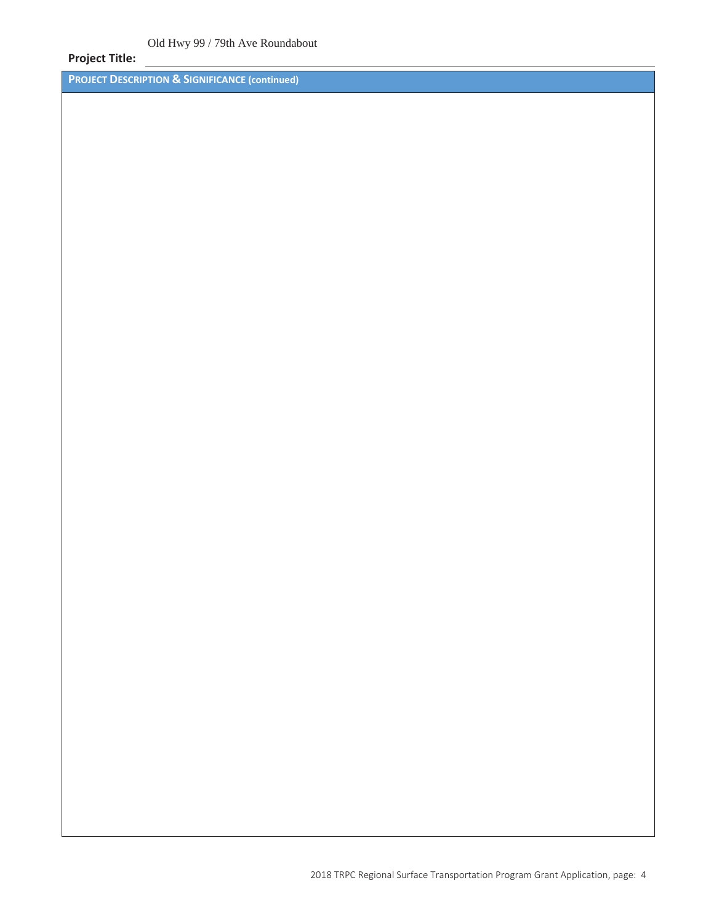### **Project Title:**

**PROJECT DESCRIPTION & SIGNIFICANCE (continued)**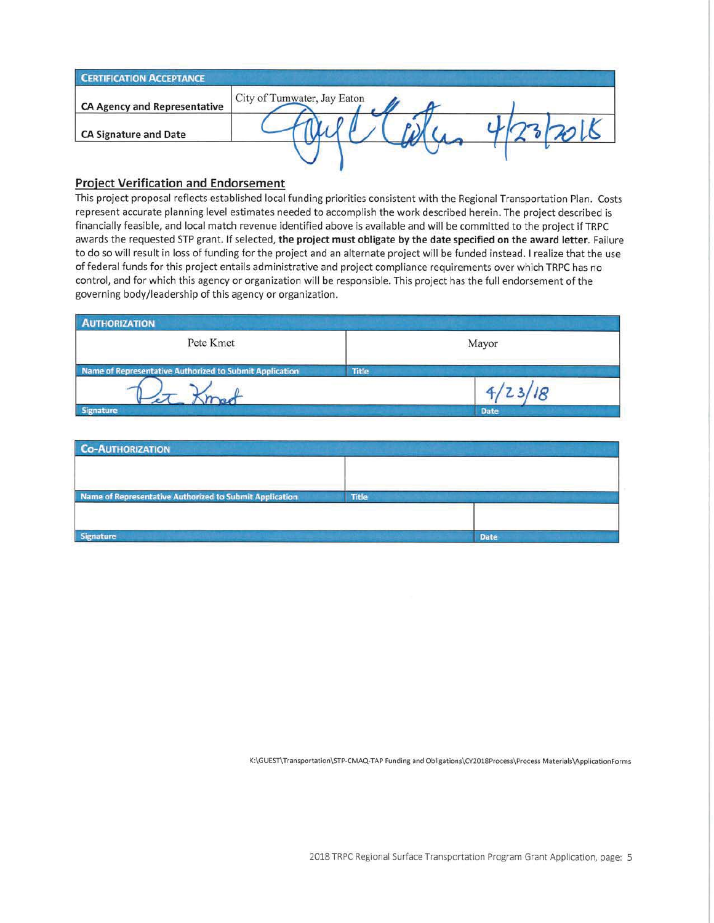| <b>CERTIFICATION ACCEPTANCE</b>     |                             |
|-------------------------------------|-----------------------------|
| <b>CA Agency and Representative</b> | City of Tumwater, Jay Eaton |
| <b>CA Signature and Date</b>        |                             |
|                                     |                             |

### **Project Verification and Endorsement**

This project proposal reflects established local funding priorities consistent with the Regional Transportation Plan. Costs represent accurate planning level estimates needed to accomplish the work described herein. The project described is financially feasible, and local match revenue identified above is available and will be committed to the project if TRPC awards the requested STP grant. If selected, the project must obligate by the date specified on the award letter. Failure to do so will result in loss of funding for the project and an alternate project will be funded instead. I realize that the use of federal funds for this project entails administrative and project compliance requirements over which TRPC has no control, and for which this agency or organization will be responsible. This project has the full endorsement of the governing body/leadership of this agency or organization.

| <b>AUTHORIZATION</b>                                    |              |             |
|---------------------------------------------------------|--------------|-------------|
| Pete Kmet                                               |              | Mayor       |
| Name of Representative Authorized to Submit Application | <b>Title</b> |             |
|                                                         |              |             |
| <b>Signature</b>                                        |              | <b>Date</b> |

| <b>Co-AUTHORIZATION</b>                                 |              |             |
|---------------------------------------------------------|--------------|-------------|
|                                                         |              |             |
| Name of Representative Authorized to Submit Application | <b>Title</b> |             |
|                                                         |              |             |
|                                                         |              |             |
| Signature                                               |              | <b>Date</b> |

K:\GUEST\Transportation\STP-CMAQ-TAP Funding and Obligations\CY2018Process\Process Materials\ApplicationForms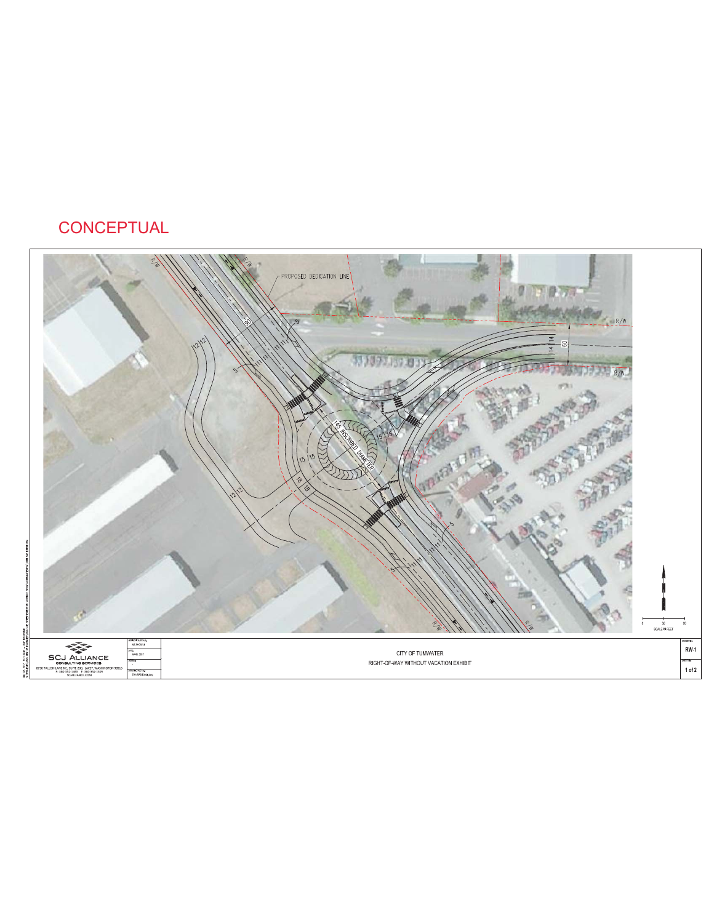# **CONCEPTUAL**

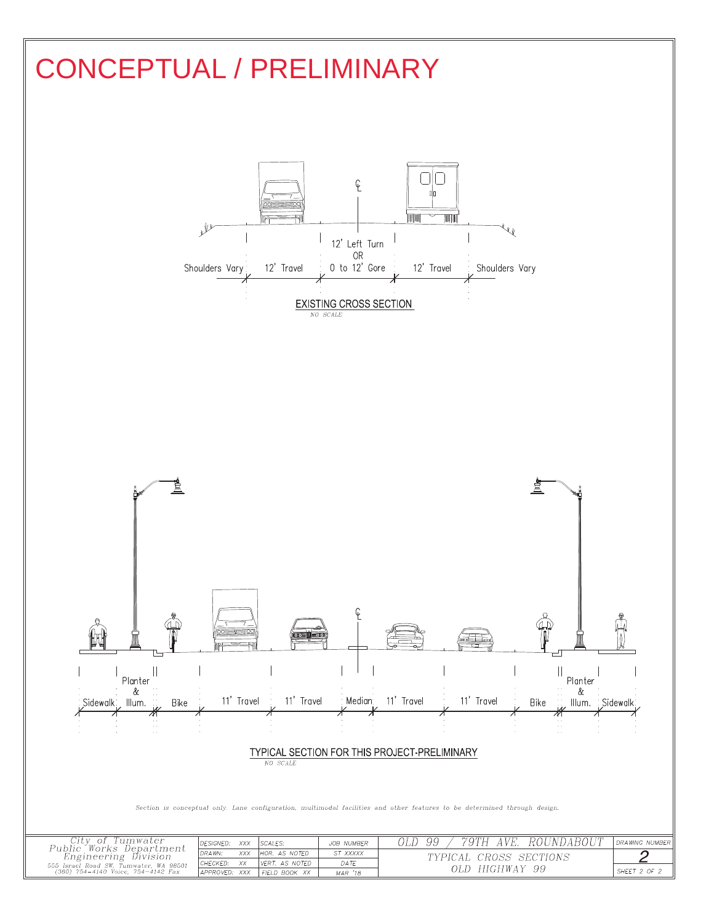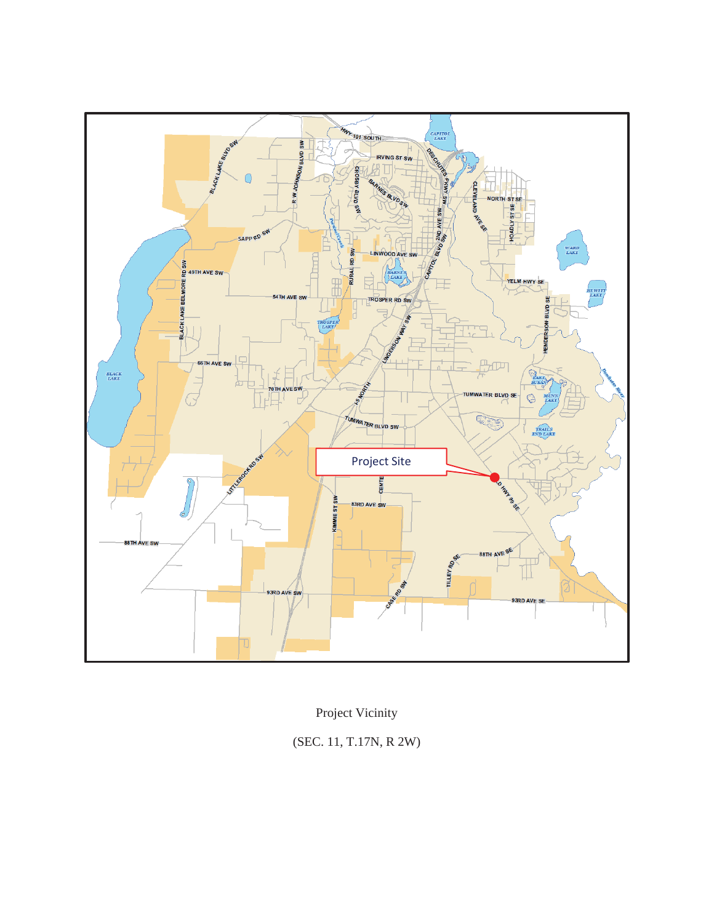

Project Vicinity

(SEC. 11, T.17N, R 2W)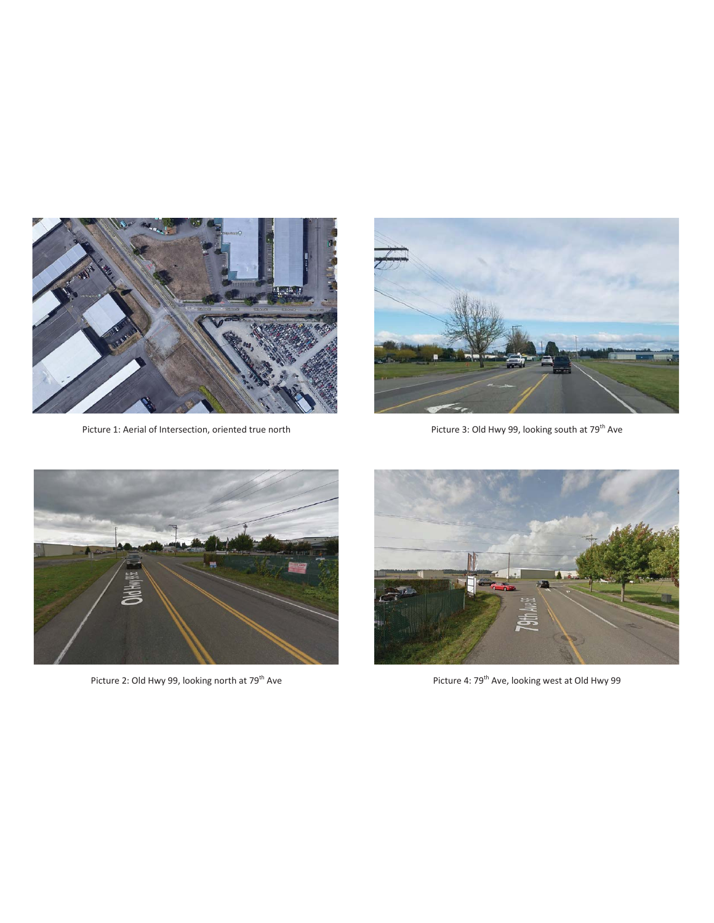

Picture 1: Aerial of Intersection, oriented true north



Picture 3: Old Hwy 99, looking south at 79<sup>th</sup> Ave



Picture 2: Old Hwy 99, looking north at 79<sup>th</sup> Ave



Picture 4: 79<sup>th</sup> Ave, looking west at Old Hwy 99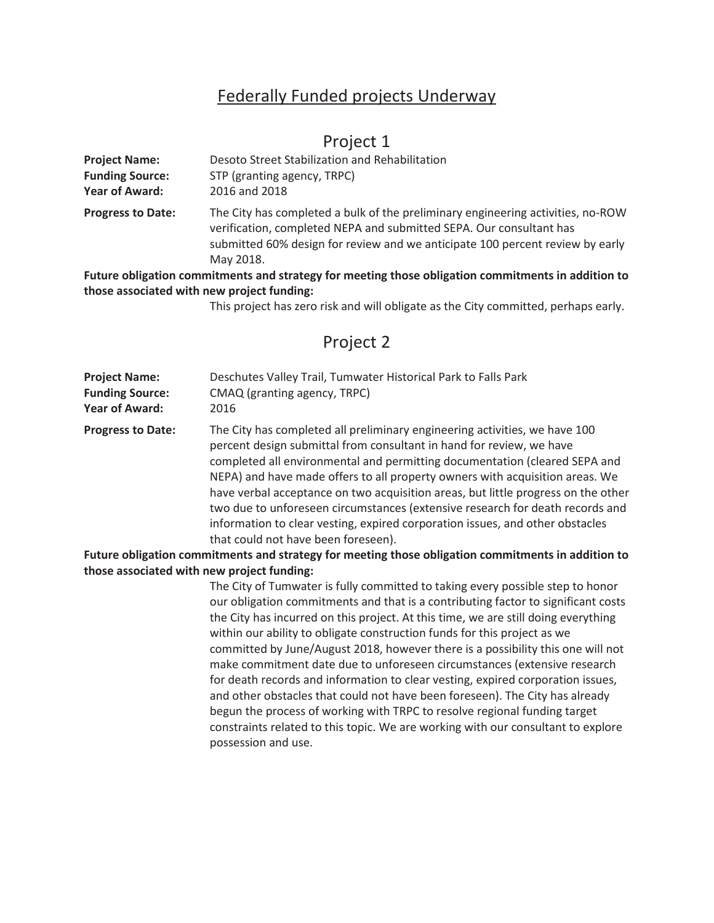## Federally Funded projects Underway

### Project 1

| <b>Project Name:</b>     | Desoto Street Stabilization and Rehabilitation                                                                                                                                                                                                       |
|--------------------------|------------------------------------------------------------------------------------------------------------------------------------------------------------------------------------------------------------------------------------------------------|
| <b>Funding Source:</b>   | STP (granting agency, TRPC)                                                                                                                                                                                                                          |
| <b>Year of Award:</b>    | 2016 and 2018                                                                                                                                                                                                                                        |
| <b>Progress to Date:</b> | The City has completed a bulk of the preliminary engineering activities, no-ROW<br>verification, completed NEPA and submitted SEPA. Our consultant has<br>submitted 60% design for review and we anticipate 100 percent review by early<br>May 2018. |

**Future obligation commitments and strategy for meeting those obligation commitments in addition to those associated with new project funding:** 

This project has zero risk and will obligate as the City committed, perhaps early.

## Project 2

| <b>Project Name:</b>   | Deschutes Valley Trail, Tumwater Historical Park to Falls Park |
|------------------------|----------------------------------------------------------------|
| <b>Funding Source:</b> | CMAQ (granting agency, TRPC)                                   |
| Year of Award:         | 2016                                                           |

**Progress to Date:** The City has completed all preliminary engineering activities, we have 100 percent design submittal from consultant in hand for review, we have completed all environmental and permitting documentation (cleared SEPA and NEPA) and have made offers to all property owners with acquisition areas. We have verbal acceptance on two acquisition areas, but little progress on the other two due to unforeseen circumstances (extensive research for death records and information to clear vesting, expired corporation issues, and other obstacles that could not have been foreseen).

**Future obligation commitments and strategy for meeting those obligation commitments in addition to those associated with new project funding:** 

> The City of Tumwater is fully committed to taking every possible step to honor our obligation commitments and that is a contributing factor to significant costs the City has incurred on this project. At this time, we are still doing everything within our ability to obligate construction funds for this project as we committed by June/August 2018, however there is a possibility this one will not make commitment date due to unforeseen circumstances (extensive research for death records and information to clear vesting, expired corporation issues, and other obstacles that could not have been foreseen). The City has already begun the process of working with TRPC to resolve regional funding target constraints related to this topic. We are working with our consultant to explore possession and use.